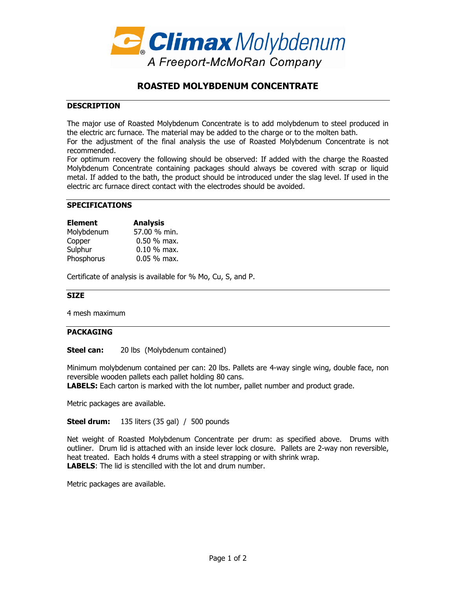

# **ROASTED MOLYBDENUM CONCENTRATE**

### **DESCRIPTION**

The major use of Roasted Molybdenum Concentrate is to add molybdenum to steel produced in the electric arc furnace. The material may be added to the charge or to the molten bath.

For the adjustment of the final analysis the use of Roasted Molybdenum Concentrate is not recommended.

For optimum recovery the following should be observed: If added with the charge the Roasted Molybdenum Concentrate containing packages should always be covered with scrap or liquid metal. If added to the bath, the product should be introduced under the slag level. If used in the electric arc furnace direct contact with the electrodes should be avoided.

### **SPECIFICATIONS**

| <b>Element</b> | <b>Analysis</b> |
|----------------|-----------------|
| Molybdenum     | 57.00 % min.    |
| Copper         | $0.50 \%$ max.  |
| Sulphur        | $0.10 \%$ max.  |
| Phosphorus     | $0.05%$ max.    |

Certificate of analysis is available for % Mo, Cu, S, and P.

#### **SIZE**

4 mesh maximum

### **PACKAGING**

**Steel can:** 20 lbs (Molybdenum contained)

Minimum molybdenum contained per can: 20 lbs. Pallets are 4-way single wing, double face, non reversible wooden pallets each pallet holding 80 cans.

**LABELS:** Each carton is marked with the lot number, pallet number and product grade.

Metric packages are available.

**Steel drum:** 135 liters (35 gal) / 500 pounds

Net weight of Roasted Molybdenum Concentrate per drum: as specified above. Drums with outliner. Drum lid is attached with an inside lever lock closure. Pallets are 2-way non reversible, heat treated. Each holds 4 drums with a steel strapping or with shrink wrap. **LABELS**: The lid is stencilled with the lot and drum number.

Metric packages are available.